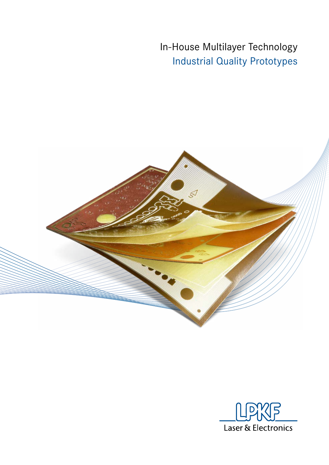In-House Multilayer Technology Industrial Quality Prototypes



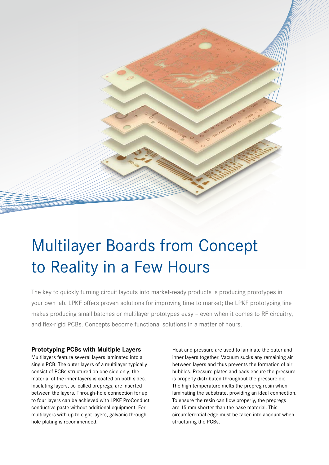

# Multilayer Boards from Concept to Reality in a Few Hours

The key to quickly turning circuit layouts into market-ready products is producing prototypes in your own lab. LPKF offers proven solutions for improving time to market; the LPKF prototyping line makes producing small batches or multilayer prototypes easy – even when it comes to RF circuitry, and flex-rigid PCBs. Concepts become functional solutions in a matter of hours.

# **Prototyping PCBs with Multiple Layers**

Multilayers feature several layers laminated into a single PCB. The outer layers of a multilayer typically consist of PCBs structured on one side only; the material of the inner layers is coated on both sides. Insulating layers, so-called prepregs, are inserted between the layers. Through-hole connection for up to four layers can be achieved with LPKF ProConduct conductive paste without additional equipment. For multilayers with up to eight layers, galvanic throughhole plating is recommended.

Heat and pressure are used to laminate the outer and inner layers together. Vacuum sucks any remaining air between layers and thus prevents the formation of air bubbles. Pressure plates and pads ensure the pressure is properly distributed throughout the pressure die. The high temperature melts the prepreg resin when laminating the substrate, providing an ideal connection. To ensure the resin can flow properly, the prepregs are 15 mm shorter than the base material. This circumferential edge must be taken into account when structuring the PCBs.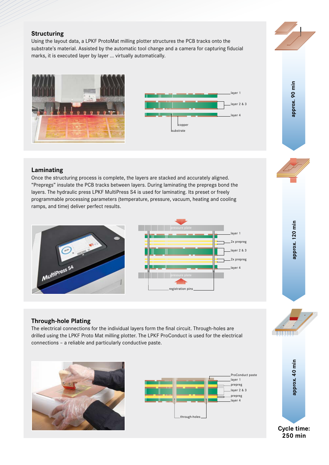# **Structuring**

Using the layout data, a LPKF ProtoMat milling plotter structures the PCB tracks onto the substrate's material. Assisted by the automatic tool change and a camera for capturing fiducial marks, it is executed layer by layer ... virtually automatically.





# **Laminating**

Once the structuring process is complete, the layers are stacked and accurately aligned. "Prepregs" insulate the PCB tracks between layers. During laminating the prepregs bond the layers. The hydraulic press LPKF MultiPress S4 is used for laminating. Its preset or freely programmable processing parameters (temperature, pressure, vacuum, heating and cooling ramps, and time) deliver perfect results.





# **Through-hole Plating**

The electrical connections for the individual layers form the final circuit. Through-holes are drilled using the LPKF Proto Mat milling plotter. The LPKF ProConduct is used for the electrical connections – a reliable and particularly conductive paste.









approx. 120 min **approx. 120 min**